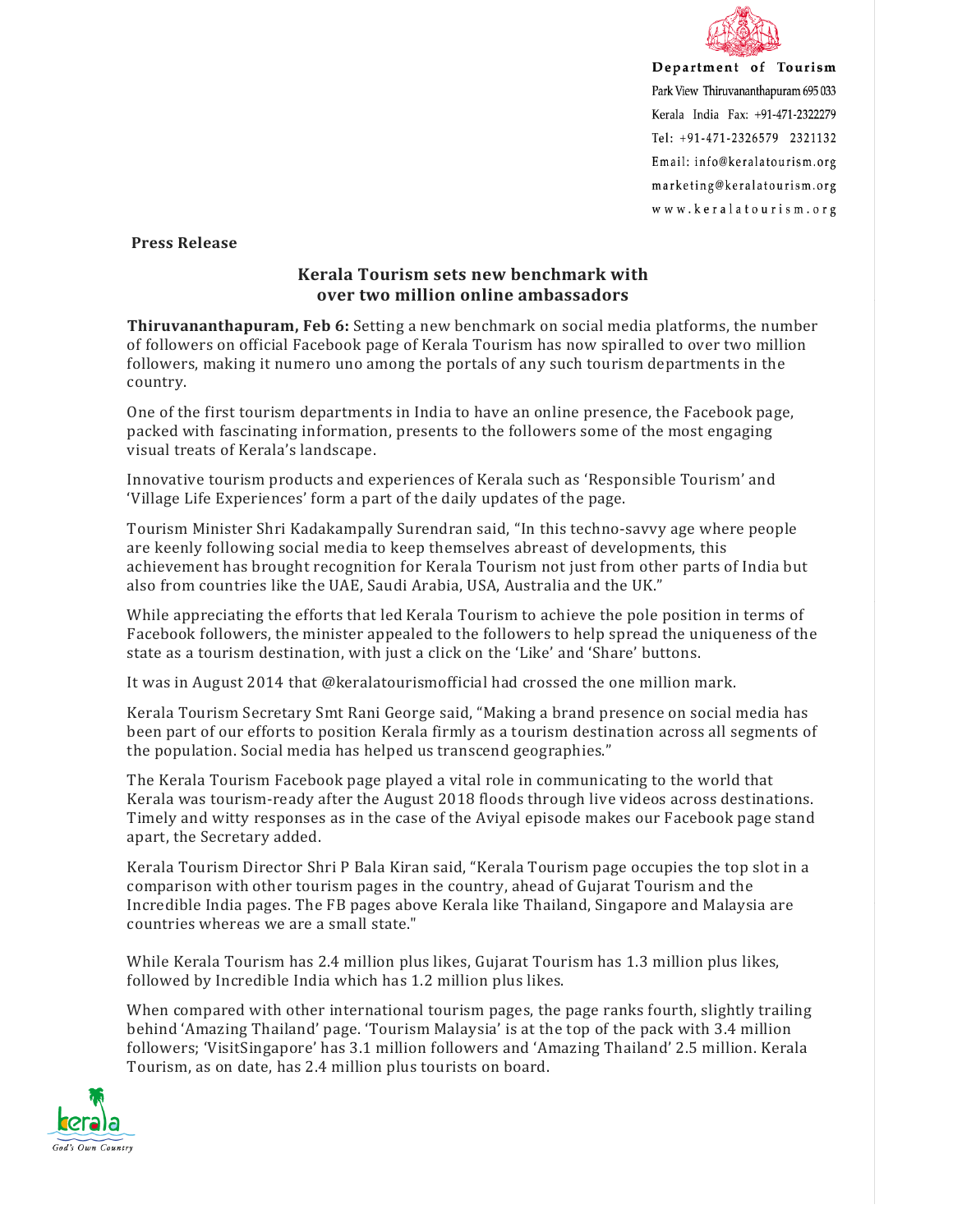

Department of Tourism Park View Thiruvananthapuram 695 033 Kerala India Fax: +91-471-2322279 Tel: +91-471-2326579 2321132 Email: info@keralatourism.org marketing@keralatourism.org www.keralatourism.org

 **Press Release** 

## **Kerala Tourism sets new benchmark with over two million online ambassadors**

**Thiruvananthapuram, Feb 6:** Setting a new benchmark on social media platforms, the number of followers on official Facebook page of Kerala Tourism has now spiralled to over two million followers, making it numero uno among the portals of any such tourism departments in the country.

One of the first tourism departments in India to have an online presence, the Facebook page, packed with fascinating information, presents to the followers some of the most engaging visual treats of Kerala's landscape.

Innovative tourism products and experiences of Kerala such as 'Responsible Tourism' and 'Village Life Experiences' form a part of the daily updates of the page.

Tourism Minister Shri Kadakampally Surendran said, "In this techno-savvy age where people are keenly following social media to keep themselves abreast of developments, this achievement has brought recognition for Kerala Tourism not just from other parts of India but also from countries like the UAE, Saudi Arabia, USA, Australia and the UK."

While appreciating the efforts that led Kerala Tourism to achieve the pole position in terms of Facebook followers, the minister appealed to the followers to help spread the uniqueness of the state as a tourism destination, with just a click on the 'Like' and 'Share' buttons.

It was in August 2014 that @keralatourismofficial had crossed the one million mark.

Kerala Tourism Secretary Smt Rani George said, "Making a brand presence on social media has been part of our efforts to position Kerala firmly as a tourism destination across all segments of the population. Social media has helped us transcend geographies."

The Kerala Tourism Facebook page played a vital role in communicating to the world that Kerala was tourism-ready after the August 2018 floods through live videos across destinations. Timely and witty responses as in the case of the Aviyal episode makes our Facebook page stand apart, the Secretary added.

Kerala Tourism Director Shri P Bala Kiran said, "Kerala Tourism page occupies the top slot in a comparison with other tourism pages in the country, ahead of Gujarat Tourism and the Incredible India pages. The FB pages above Kerala like Thailand, Singapore and Malaysia are countries whereas we are a small state."

While Kerala Tourism has 2.4 million plus likes, Gujarat Tourism has 1.3 million plus likes, followed by Incredible India which has 1.2 million plus likes.

When compared with other international tourism pages, the page ranks fourth, slightly trailing behind 'Amazing Thailand' page. 'Tourism Malaysia' is at the top of the pack with 3.4 million followers; 'VisitSingapore' has 3.1 million followers and 'Amazing Thailand' 2.5 million. Kerala Tourism, as on date, has 2.4 million plus tourists on board.